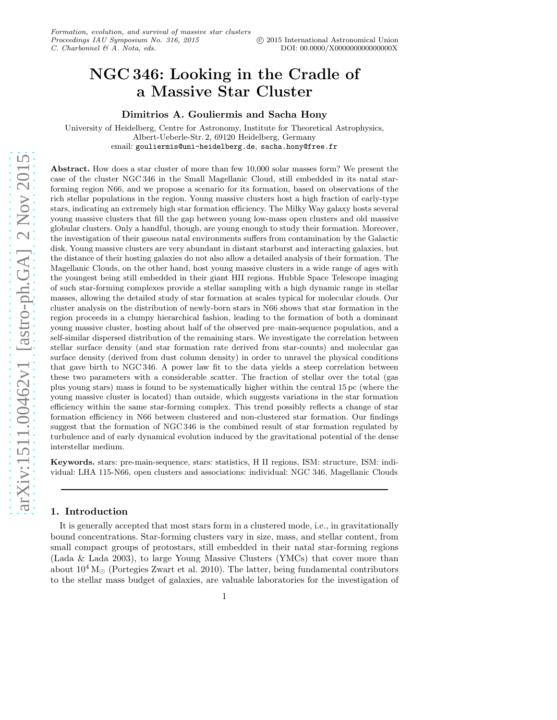# NGC 346: Looking in the Cradle of a Massive Star Cluster

Dimitrios A. Gouliermis and Sacha Hony

University of Heidelberg, Centre for Astronomy, Institute for Theoretical Astrophysics, Albert-Ueberle-Str. 2, 69120 Heidelberg, Germany email: gouliermis@uni-heidelberg.de, sacha.hony@free.fr

Abstract. How does a star cluster of more than few 10,000 solar masses form? We present the case of the cluster NGC 346 in the Small Magellanic Cloud, still embedded in its natal starforming region N66, and we propose a scenario for its formation, based on observations of the rich stellar populations in the region. Young massive clusters host a high fraction of early-type stars, indicating an extremely high star formation efficiency. The Milky Way galaxy hosts several young massive clusters that fill the gap between young low-mass open clusters and old massive globular clusters. Only a handful, though, are young enough to study their formation. Moreover, the investigation of their gaseous natal environments suffers from contamination by the Galactic disk. Young massive clusters are very abundant in distant starburst and interacting galaxies, but the distance of their hosting galaxies do not also allow a detailed analysis of their formation. The Magellanic Clouds, on the other hand, host young massive clusters in a wide range of ages with the youngest being still embedded in their giant HII regions. Hubble Space Telescope imaging of such star-forming complexes provide a stellar sampling with a high dynamic range in stellar masses, allowing the detailed study of star formation at scales typical for molecular clouds. Our cluster analysis on the distribution of newly-born stars in N66 shows that star formation in the region proceeds in a clumpy hierarchical fashion, leading to the formation of both a dominant young massive cluster, hosting about half of the observed pre–main-sequence population, and a self-similar dispersed distribution of the remaining stars. We investigate the correlation between stellar surface density (and star formation rate derived from star-counts) and molecular gas surface density (derived from dust column density) in order to unravel the physical conditions that gave birth to NGC 346. A power law fit to the data yields a steep correlation between these two parameters with a considerable scatter. The fraction of stellar over the total (gas plus young stars) mass is found to be systematically higher within the central 15 pc (where the young massive cluster is located) than outside, which suggests variations in the star formation efficiency within the same star-forming complex. This trend possibly reflects a change of star formation efficiency in N66 between clustered and non-clustered star formation. Our findings suggest that the formation of NGC 346 is the combined result of star formation regulated by turbulence and of early dynamical evolution induced by the gravitational potential of the dense interstellar medium.

Keywords. stars: pre-main-sequence, stars: statistics, H II regions, ISM: structure, ISM: individual: LHA 115-N66, open clusters and associations: individual: NGC 346, Magellanic Clouds

### 1. Introduction

It is generally accepted that most stars form in a clustered mode, i.e., in gravitationally bound concentrations. Star-forming clusters vary in size, mass, and stellar content, from small compact groups of protostars, still embedded in their natal star-forming regions (Lada & Lada 2003), to large Young Massive Clusters (YMCs) that cover more than about  $10^4 M_{\odot}$  (Portegies Zwart et al. 2010). The latter, being fundamental contributors to the stellar mass budget of galaxies, are valuable laboratories for the investigation of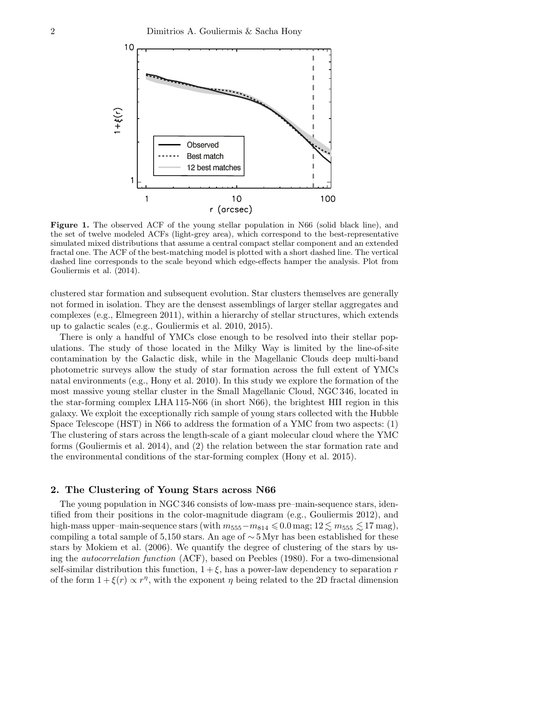

<span id="page-1-0"></span>Figure 1. The observed ACF of the young stellar population in N66 (solid black line), and the set of twelve modeled ACFs (light-grey area), which correspond to the best-representative simulated mixed distributions that assume a central compact stellar component and an extended fractal one. The ACF of the best-matching model is plotted with a short dashed line. The vertical dashed line corresponds to the scale beyond which edge-effects hamper the analysis. Plot from Gouliermis et al. (2014).

clustered star formation and subsequent evolution. Star clusters themselves are generally not formed in isolation. They are the densest assemblings of larger stellar aggregates and complexes (e.g., Elmegreen 2011), within a hierarchy of stellar structures, which extends up to galactic scales (e.g., Gouliermis et al. 2010, 2015).

There is only a handful of YMCs close enough to be resolved into their stellar populations. The study of those located in the Milky Way is limited by the line-of-site contamination by the Galactic disk, while in the Magellanic Clouds deep multi-band photometric surveys allow the study of star formation across the full extent of YMCs natal environments (e.g., Hony et al. 2010). In this study we explore the formation of the most massive young stellar cluster in the Small Magellanic Cloud, NGC 346, located in the star-forming complex LHA 115-N66 (in short N66), the brightest HII region in this galaxy. We exploit the exceptionally rich sample of young stars collected with the Hubble Space Telescope (HST) in N66 to address the formation of a YMC from two aspects: (1) The clustering of stars across the length-scale of a giant molecular cloud where the YMC forms (Gouliermis et al. 2014), and (2) the relation between the star formation rate and the environmental conditions of the star-forming complex (Hony et al. 2015).

# 2. The Clustering of Young Stars across N66

The young population in NGC 346 consists of low-mass pre–main-sequence stars, identified from their positions in the color-magnitude diagram (e.g., Gouliermis 2012), and high-mass upper–main-sequence stars (with  $m_{555}-m_{814} \leqslant 0.0$  mag;  $12 \leq m_{555} \leqslant 17$  mag), compiling a total sample of 5,150 stars. An age of  $\sim$  5 Myr has been established for these stars by Mokiem et al. (2006). We quantify the degree of clustering of the stars by using the autocorrelation function (ACF), based on Peebles (1980). For a two-dimensional self-similar distribution this function,  $1 + \xi$ , has a power-law dependency to separation r of the form  $1 + \xi(r) \propto r^{\eta}$ , with the exponent  $\eta$  being related to the 2D fractal dimension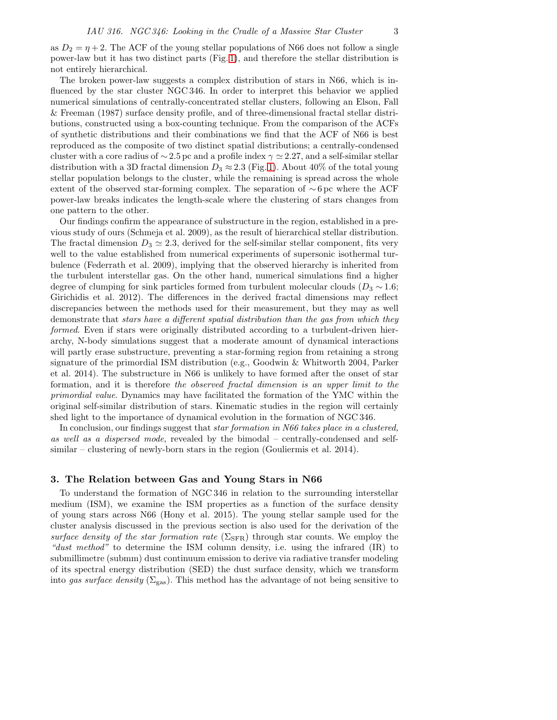as  $D_2 = \eta + 2$ . The ACF of the young stellar populations of N66 does not follow a single power-law but it has two distinct parts (Fig. [1\)](#page-1-0), and therefore the stellar distribution is not entirely hierarchical.

The broken power-law suggests a complex distribution of stars in N66, which is influenced by the star cluster NGC 346. In order to interpret this behavior we applied numerical simulations of centrally-concentrated stellar clusters, following an Elson, Fall & Freeman (1987) surface density profile, and of three-dimensional fractal stellar distributions, constructed using a box-counting technique. From the comparison of the ACFs of synthetic distributions and their combinations we find that the ACF of N66 is best reproduced as the composite of two distinct spatial distributions; a centrally-condensed cluster with a core radius of  $\sim$  2.5 pc and a profile index  $\gamma \simeq$  2.27, and a self-similar stellar distribution with a 3D fractal dimension  $D_3 \approx 2.3$  (Fig. [1\)](#page-1-0). About 40% of the total young stellar population belongs to the cluster, while the remaining is spread across the whole extent of the observed star-forming complex. The separation of  $\sim$  6 pc where the ACF power-law breaks indicates the length-scale where the clustering of stars changes from one pattern to the other.

Our findings confirm the appearance of substructure in the region, established in a previous study of ours (Schmeja et al. 2009), as the result of hierarchical stellar distribution. The fractal dimension  $D_3 \simeq 2.3$ , derived for the self-similar stellar component, fits very well to the value established from numerical experiments of supersonic isothermal turbulence (Federrath et al. 2009), implying that the observed hierarchy is inherited from the turbulent interstellar gas. On the other hand, numerical simulations find a higher degree of clumping for sink particles formed from turbulent molecular clouds ( $D_3 \sim 1.6$ ; Girichidis et al. 2012). The differences in the derived fractal dimensions may reflect discrepancies between the methods used for their measurement, but they may as well demonstrate that stars have a different spatial distribution than the gas from which they formed. Even if stars were originally distributed according to a turbulent-driven hierarchy, N-body simulations suggest that a moderate amount of dynamical interactions will partly erase substructure, preventing a star-forming region from retaining a strong signature of the primordial ISM distribution (e.g., Goodwin & Whitworth 2004, Parker et al. 2014). The substructure in N66 is unlikely to have formed after the onset of star formation, and it is therefore the observed fractal dimension is an upper limit to the primordial value. Dynamics may have facilitated the formation of the YMC within the original self-similar distribution of stars. Kinematic studies in the region will certainly shed light to the importance of dynamical evolution in the formation of NGC 346.

In conclusion, our findings suggest that *star formation in N66 takes place in a clustered*, as well as a dispersed mode, revealed by the bimodal – centrally-condensed and selfsimilar – clustering of newly-born stars in the region (Gouliermis et al. 2014).

## 3. The Relation between Gas and Young Stars in N66

To understand the formation of NGC 346 in relation to the surrounding interstellar medium (ISM), we examine the ISM properties as a function of the surface density of young stars across N66 (Hony et al. 2015). The young stellar sample used for the cluster analysis discussed in the previous section is also used for the derivation of the surface density of the star formation rate ( $\Sigma_{\rm SFR}$ ) through star counts. We employ the "dust method" to determine the ISM column density, i.e. using the infrared (IR) to submillimetre (submm) dust continuum emission to derive via radiative transfer modeling of its spectral energy distribution (SED) the dust surface density, which we transform into gas surface density ( $\Sigma_{\rm gas}$ ). This method has the advantage of not being sensitive to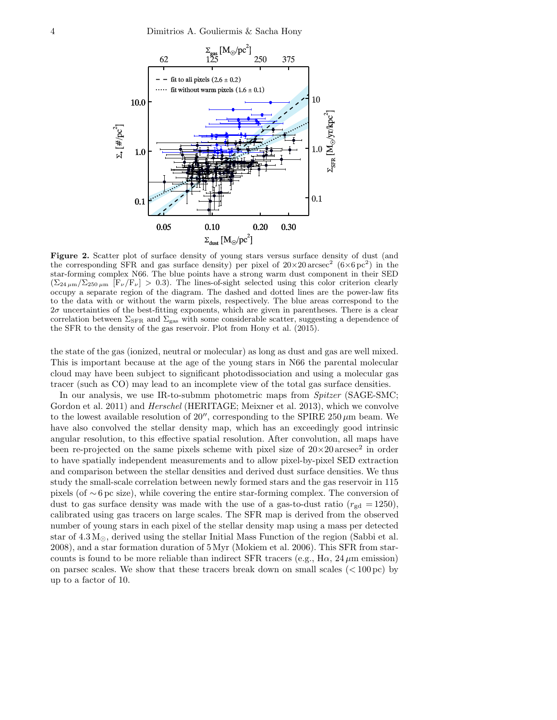

<span id="page-3-0"></span>Figure 2. Scatter plot of surface density of young stars versus surface density of dust (and the corresponding SFR and gas surface density) per pixel of  $20 \times 20$  arcsec<sup>2</sup> ( $6 \times 6$  pc<sup>2</sup>) in the star-forming complex N66. The blue points have a strong warm dust component in their SED  $(\Sigma_{24 \mu m}/\Sigma_{250 \mu m}$   $\left|F_{\nu}/F_{\nu}\right| > 0.3)$ . The lines-of-sight selected using this color criterion clearly occupy a separate region of the diagram. The dashed and dotted lines are the power-law fits to the data with or without the warm pixels, respectively. The blue areas correspond to the 2σ uncertainties of the best-fitting exponents, which are given in parentheses. There is a clear correlation between  $\Sigma_{\rm SFR}$  and  $\Sigma_{\rm gas}$  with some considerable scatter, suggesting a dependence of the SFR to the density of the gas reservoir. Plot from Hony et al. (2015).

the state of the gas (ionized, neutral or molecular) as long as dust and gas are well mixed. This is important because at the age of the young stars in N66 the parental molecular cloud may have been subject to significant photodissociation and using a molecular gas tracer (such as CO) may lead to an incomplete view of the total gas surface densities.

In our analysis, we use IR-to-submm photometric maps from *Spitzer* (SAGE-SMC; Gordon et al. 2011) and *Herschel* (HERITAGE; Meixner et al. 2013), which we convolve to the lowest available resolution of  $20''$ , corresponding to the SPIRE  $250 \,\mu m$  beam. We have also convolved the stellar density map, which has an exceedingly good intrinsic angular resolution, to this effective spatial resolution. After convolution, all maps have been re-projected on the same pixels scheme with pixel size of  $20 \times 20 \text{ arcsec}^2$  in order to have spatially independent measurements and to allow pixel-by-pixel SED extraction and comparison between the stellar densities and derived dust surface densities. We thus study the small-scale correlation between newly formed stars and the gas reservoir in 115 pixels (of ∼ 6 pc size), while covering the entire star-forming complex. The conversion of dust to gas surface density was made with the use of a gas-to-dust ratio  $(r_{\text{gd}} = 1250)$ , calibrated using gas tracers on large scales. The SFR map is derived from the observed number of young stars in each pixel of the stellar density map using a mass per detected star of  $4.3 M_{\odot}$ , derived using the stellar Initial Mass Function of the region (Sabbi et al. 2008), and a star formation duration of 5 Myr (Mokiem et al. 2006). This SFR from starcounts is found to be more reliable than indirect SFR tracers (e.g.,  $H\alpha$ , 24  $\mu$ m emission) on parsec scales. We show that these tracers break down on small scales  $(<100 \,\mathrm{pc}$ ) by up to a factor of 10.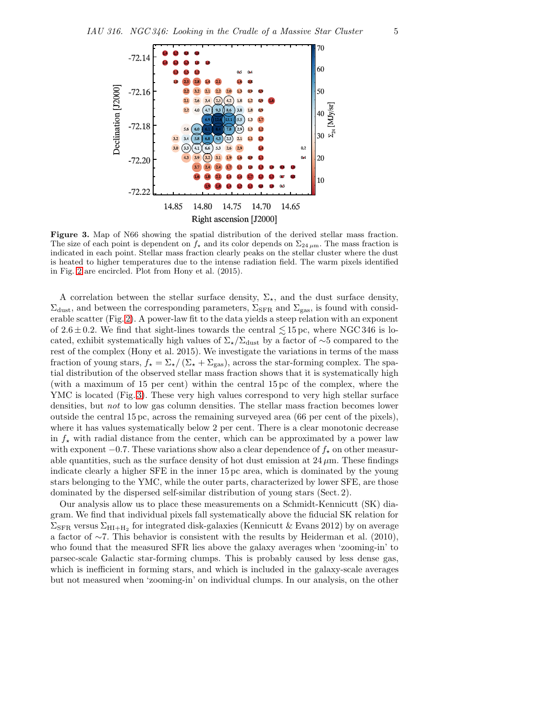

<span id="page-4-0"></span>Figure 3. Map of N66 showing the spatial distribution of the derived stellar mass fraction. The size of each point is dependent on  $f_{\star}$  and its color depends on  $\Sigma_{24 \mu m}$ . The mass fraction is indicated in each point. Stellar mass fraction clearly peaks on the stellar cluster where the dust is heated to higher temperatures due to the intense radiation field. The warm pixels identified in Fig. [2](#page-3-0) are encircled. Plot from Hony et al. (2015).

A correlation between the stellar surface density,  $\Sigma_{\star}$ , and the dust surface density,  $\Sigma_{\text{dust}}$ , and between the corresponding parameters,  $\Sigma_{\text{SFR}}$  and  $\Sigma_{\text{gas}}$ , is found with considerable scatter (Fig. [2\)](#page-3-0). A power-law fit to the data yields a steep relation with an exponent of  $2.6 \pm 0.2$ . We find that sight-lines towards the central  $\leq 15$  pc, where NGC 346 is located, exhibit systematically high values of  $\Sigma_{\star}/\Sigma_{\rm dust}$  by a factor of ∼5 compared to the rest of the complex (Hony et al. 2015). We investigate the variations in terms of the mass fraction of young stars,  $f_{\star} = \Sigma_{\star}/(\Sigma_{\star} + \Sigma_{\rm gas})$ , across the star-forming complex. The spatial distribution of the observed stellar mass fraction shows that it is systematically high (with a maximum of 15 per cent) within the central 15 pc of the complex, where the YMC is located (Fig. [3\)](#page-4-0). These very high values correspond to very high stellar surface densities, but not to low gas column densities. The stellar mass fraction becomes lower outside the central 15 pc, across the remaining surveyed area (66 per cent of the pixels), where it has values systematically below 2 per cent. There is a clear monotonic decrease in  $f_{\star}$  with radial distance from the center, which can be approximated by a power law with exponent  $-0.7$ . These variations show also a clear dependence of  $f_{\star}$  on other measurable quantities, such as the surface density of hot dust emission at  $24 \mu$ m. These findings indicate clearly a higher SFE in the inner 15 pc area, which is dominated by the young stars belonging to the YMC, while the outer parts, characterized by lower SFE, are those dominated by the dispersed self-similar distribution of young stars (Sect. 2).

Our analysis allow us to place these measurements on a Schmidt-Kennicutt (SK) diagram. We find that individual pixels fall systematically above the fiducial SK relation for  $\Sigma_\mathrm{SFR}$  versus  $\Sigma_\mathrm{HI+H_2}$  for integrated disk-galaxies (Kennicutt & Evans 2012) by on average a factor of  $\sim$ 7. This behavior is consistent with the results by Heiderman et al. (2010), who found that the measured SFR lies above the galaxy averages when 'zooming-in' to parsec-scale Galactic star-forming clumps. This is probably caused by less dense gas, which is inefficient in forming stars, and which is included in the galaxy-scale averages but not measured when 'zooming-in' on individual clumps. In our analysis, on the other